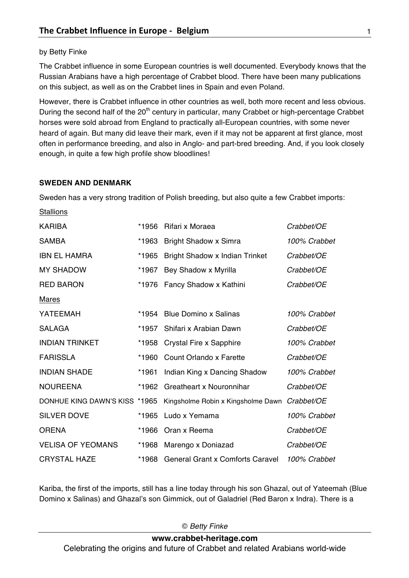## by Betty Finke

The Crabbet influence in some European countries is well documented. Everybody knows that the Russian Arabians have a high percentage of Crabbet blood. There have been many publications on this subject, as well as on the Crabbet lines in Spain and even Poland.

However, there is Crabbet influence in other countries as well, both more recent and less obvious. During the second half of the 20<sup>th</sup> century in particular, many Crabbet or high-percentage Crabbet horses were sold abroad from England to practically all-European countries, with some never heard of again. But many did leave their mark, even if it may not be apparent at first glance, most often in performance breeding, and also in Anglo- and part-bred breeding. And, if you look closely enough, in quite a few high profile show bloodlines!

## **SWEDEN AND DENMARK**

Sweden has a very strong tradition of Polish breeding, but also quite a few Crabbet imports:

**Stallions** 

| <b>KARIBA</b>                 | *1956 | Rifari x Moraea                         | Crabbet/OE   |
|-------------------------------|-------|-----------------------------------------|--------------|
| <b>SAMBA</b>                  | *1963 | Bright Shadow x Simra                   | 100% Crabbet |
| <b>IBN EL HAMRA</b>           | *1965 | <b>Bright Shadow x Indian Trinket</b>   | Crabbet/OE   |
| <b>MY SHADOW</b>              | *1967 | Bey Shadow x Myrilla                    | Crabbet/OE   |
| <b>RED BARON</b>              | *1976 | Fancy Shadow x Kathini                  | Crabbet/OE   |
| <b>Mares</b>                  |       |                                         |              |
| YATEEMAH                      | *1954 | <b>Blue Domino x Salinas</b>            | 100% Crabbet |
| <b>SALAGA</b>                 | *1957 | Shifari x Arabian Dawn                  | Crabbet/OE   |
| <b>INDIAN TRINKET</b>         | *1958 | Crystal Fire x Sapphire                 | 100% Crabbet |
| <b>FARISSLA</b>               | *1960 | Count Orlando x Farette                 | Crabbet/OE   |
| <b>INDIAN SHADE</b>           | *1961 | Indian King x Dancing Shadow            | 100% Crabbet |
| <b>NOUREENA</b>               | *1962 | <b>Greatheart x Nouronnihar</b>         | Crabbet/OE   |
| DONHUE KING DAWN'S KISS *1965 |       | Kingsholme Robin x Kingsholme Dawn      | Crabbet/OE   |
| <b>SILVER DOVE</b>            | *1965 | Ludo x Yemama                           | 100% Crabbet |
| <b>ORENA</b>                  | *1966 | Oran x Reema                            | Crabbet/OE   |
| <b>VELISA OF YEOMANS</b>      | *1968 | Marengo x Doniazad                      | Crabbet/OE   |
| <b>CRYSTAL HAZE</b>           | *1968 | <b>General Grant x Comforts Caravel</b> | 100% Crabbet |

Kariba, the first of the imports, still has a line today through his son Ghazal, out of Yateemah (Blue Domino x Salinas) and Ghazal's son Gimmick, out of Galadriel (Red Baron x Indra). There is a